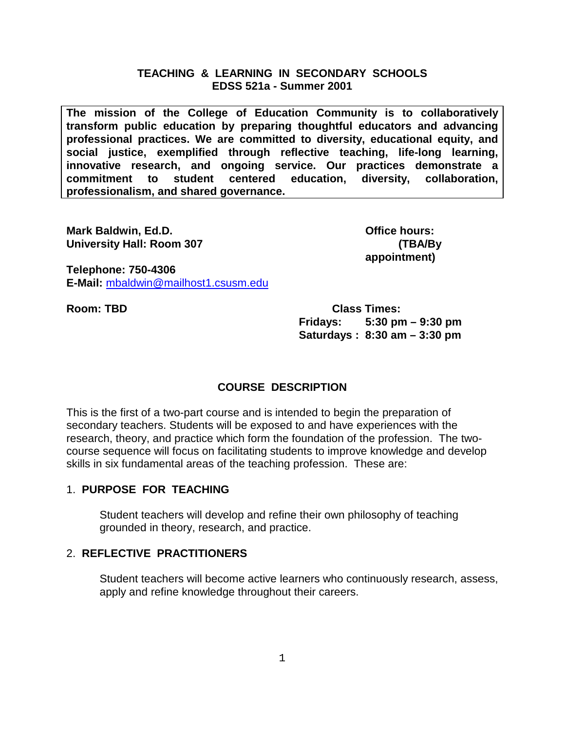#### **TEACHING & LEARNING IN SECONDARY SCHOOLS EDSS 521a - Summer 2001**

**The mission of the College of Education Community is to collaboratively transform public education by preparing thoughtful educators and advancing professional practices. We are committed to diversity, educational equity, and social justice, exemplified through reflective teaching, life-long learning, innovative research, and ongoing service. Our practices demonstrate a commitment to student centered education, diversity, collaboration, professionalism, and shared governance.**

**Mark Baldwin, Ed.D. Communist Communist Communist Communist Communist Communist Communist Communist Communist Communist Communist Communist Communist Communist Communist Communist Communist Communist Communist Communist University Hall: Room 307 (TBA/By** 

**appointment)**

**Telephone: 750-4306 E-Mail:** [mbaldwin@mailhost1.csusm.edu](mailto:mbaldwin@mailhost1.csusm.edu)

**Room: TBD Class Times: Fridays: 5:30 pm – 9:30 pm Saturdays : 8:30 am – 3:30 pm** 

## **COURSE DESCRIPTION**

This is the first of a two-part course and is intended to begin the preparation of secondary teachers. Students will be exposed to and have experiences with the research, theory, and practice which form the foundation of the profession. The twocourse sequence will focus on facilitating students to improve knowledge and develop skills in six fundamental areas of the teaching profession. These are:

## 1. **PURPOSE FOR TEACHING**

Student teachers will develop and refine their own philosophy of teaching grounded in theory, research, and practice.

## 2. **REFLECTIVE PRACTITIONERS**

Student teachers will become active learners who continuously research, assess, apply and refine knowledge throughout their careers.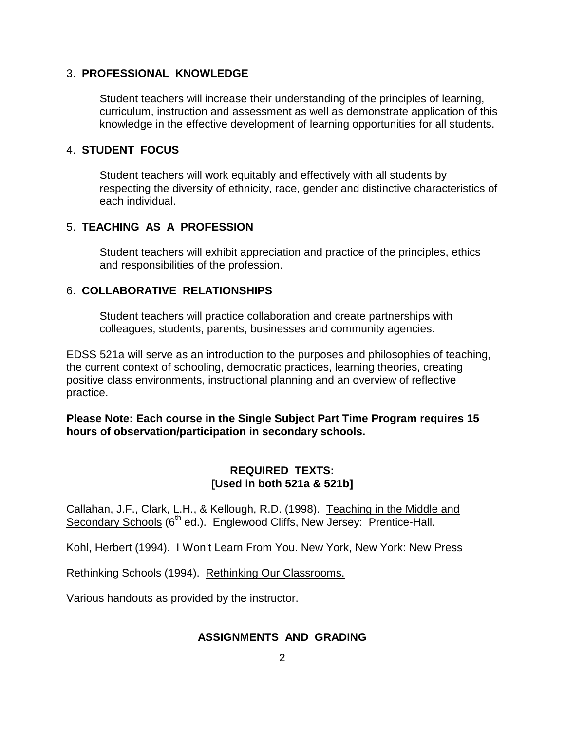#### 3. **PROFESSIONAL KNOWLEDGE**

Student teachers will increase their understanding of the principles of learning, curriculum, instruction and assessment as well as demonstrate application of this knowledge in the effective development of learning opportunities for all students.

## 4. **STUDENT FOCUS**

Student teachers will work equitably and effectively with all students by respecting the diversity of ethnicity, race, gender and distinctive characteristics of each individual.

## 5. **TEACHING AS A PROFESSION**

Student teachers will exhibit appreciation and practice of the principles, ethics and responsibilities of the profession.

## 6. **COLLABORATIVE RELATIONSHIPS**

Student teachers will practice collaboration and create partnerships with colleagues, students, parents, businesses and community agencies.

EDSS 521a will serve as an introduction to the purposes and philosophies of teaching, the current context of schooling, democratic practices, learning theories, creating positive class environments, instructional planning and an overview of reflective practice.

**Please Note: Each course in the Single Subject Part Time Program requires 15 hours of observation/participation in secondary schools.**

#### **REQUIRED TEXTS: [Used in both 521a & 521b]**

Callahan, J.F., Clark, L.H., & Kellough, R.D. (1998). Teaching in the Middle and Secondary Schools (6<sup>th</sup> ed.). Englewood Cliffs, New Jersey: Prentice-Hall.

Kohl, Herbert (1994). I Won't Learn From You. New York, New York: New Press

Rethinking Schools (1994). Rethinking Our Classrooms.

Various handouts as provided by the instructor.

## **ASSIGNMENTS AND GRADING**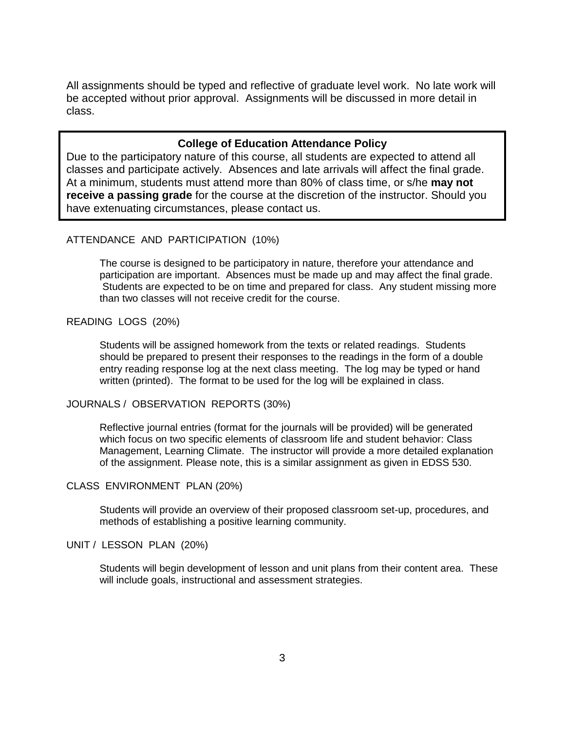All assignments should be typed and reflective of graduate level work. No late work will be accepted without prior approval. Assignments will be discussed in more detail in class.

#### **College of Education Attendance Policy**

Due to the participatory nature of this course, all students are expected to attend all classes and participate actively. Absences and late arrivals will affect the final grade. At a minimum, students must attend more than 80% of class time, or s/he **may not receive a passing grade** for the course at the discretion of the instructor. Should you have extenuating circumstances, please contact us.

#### ATTENDANCE AND PARTICIPATION (10%)

The course is designed to be participatory in nature, therefore your attendance and participation are important. Absences must be made up and may affect the final grade. Students are expected to be on time and prepared for class. Any student missing more than two classes will not receive credit for the course.

#### READING LOGS (20%)

Students will be assigned homework from the texts or related readings. Students should be prepared to present their responses to the readings in the form of a double entry reading response log at the next class meeting. The log may be typed or hand written (printed). The format to be used for the log will be explained in class.

#### JOURNALS / OBSERVATION REPORTS (30%)

Reflective journal entries (format for the journals will be provided) will be generated which focus on two specific elements of classroom life and student behavior: Class Management, Learning Climate. The instructor will provide a more detailed explanation of the assignment. Please note, this is a similar assignment as given in EDSS 530.

#### CLASS ENVIRONMENT PLAN (20%)

Students will provide an overview of their proposed classroom set-up, procedures, and methods of establishing a positive learning community.

UNIT / LESSON PLAN (20%)

Students will begin development of lesson and unit plans from their content area. These will include goals, instructional and assessment strategies.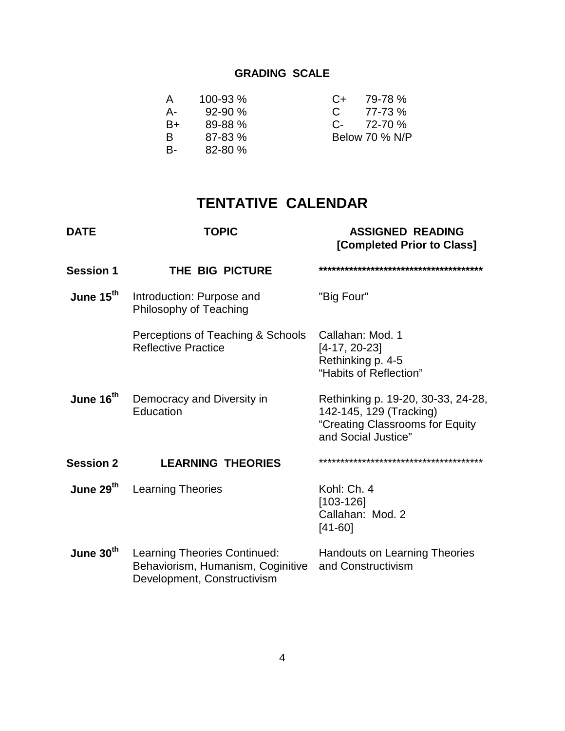# **GRADING SCALE**

| A  | 100-93 %     | $C+$ | 79-78 %               |
|----|--------------|------|-----------------------|
| А- | $92 - 90 \%$ | C    | 77-73 %               |
| B+ | 89-88 %      |      | $C - 72-70\%$         |
| B  | $87 - 83 \%$ |      | <b>Below 70 % N/P</b> |
| B- | $82 - 80 \%$ |      |                       |
|    |              |      |                       |

# **TENTATIVE CALENDAR**

| <b>DATE</b>           | <b>TOPIC</b>                                                                                            | <b>ASSIGNED READING</b><br>[Completed Prior to Class]                                                                   |
|-----------------------|---------------------------------------------------------------------------------------------------------|-------------------------------------------------------------------------------------------------------------------------|
| <b>Session 1</b>      | THE BIG PICTURE                                                                                         |                                                                                                                         |
| June 15 <sup>th</sup> | Introduction: Purpose and<br>Philosophy of Teaching                                                     | "Big Four"                                                                                                              |
|                       | Perceptions of Teaching & Schools<br><b>Reflective Practice</b>                                         | Callahan: Mod. 1<br>$[4-17, 20-23]$<br>Rethinking p. 4-5<br>"Habits of Reflection"                                      |
| June 16 <sup>th</sup> | Democracy and Diversity in<br>Education                                                                 | Rethinking p. 19-20, 30-33, 24-28,<br>142-145, 129 (Tracking)<br>"Creating Classrooms for Equity<br>and Social Justice" |
| <b>Session 2</b>      | <b>LEARNING THEORIES</b>                                                                                |                                                                                                                         |
| June 29 <sup>th</sup> | <b>Learning Theories</b>                                                                                | Kohl: Ch. 4<br>$[103-126]$<br>Callahan: Mod. 2<br>$[41 - 60]$                                                           |
| June 30 <sup>th</sup> | <b>Learning Theories Continued:</b><br>Behaviorism, Humanism, Coginitive<br>Development, Constructivism | <b>Handouts on Learning Theories</b><br>and Constructivism                                                              |